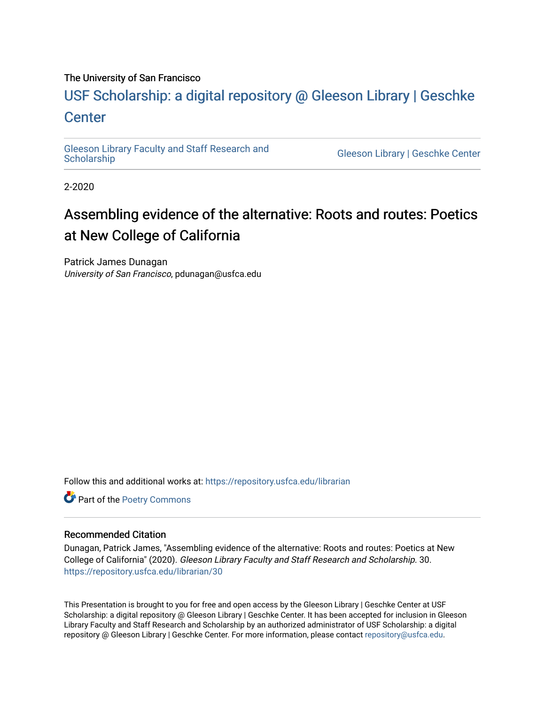### The University of San Francisco

## USF Scholarship: [a digital repository @ Gleeson Libr](https://repository.usfca.edu/)ary | Geschke **Center**

[Gleeson Library Faculty and Staff Research and](https://repository.usfca.edu/librarian)

**Gleeson Library | Geschke Center** 

2-2020

# Assembling evidence of the alternative: Roots and routes: Poetics at New College of California

Patrick James Dunagan University of San Francisco, pdunagan@usfca.edu

Follow this and additional works at: [https://repository.usfca.edu/librarian](https://repository.usfca.edu/librarian?utm_source=repository.usfca.edu%2Flibrarian%2F30&utm_medium=PDF&utm_campaign=PDFCoverPages) 

Part of the [Poetry Commons](http://network.bepress.com/hgg/discipline/1153?utm_source=repository.usfca.edu%2Flibrarian%2F30&utm_medium=PDF&utm_campaign=PDFCoverPages) 

#### Recommended Citation

Dunagan, Patrick James, "Assembling evidence of the alternative: Roots and routes: Poetics at New College of California" (2020). Gleeson Library Faculty and Staff Research and Scholarship. 30. [https://repository.usfca.edu/librarian/30](https://repository.usfca.edu/librarian/30?utm_source=repository.usfca.edu%2Flibrarian%2F30&utm_medium=PDF&utm_campaign=PDFCoverPages)

This Presentation is brought to you for free and open access by the Gleeson Library | Geschke Center at USF Scholarship: a digital repository @ Gleeson Library | Geschke Center. It has been accepted for inclusion in Gleeson Library Faculty and Staff Research and Scholarship by an authorized administrator of USF Scholarship: a digital repository @ Gleeson Library | Geschke Center. For more information, please contact [repository@usfca.edu.](mailto:repository@usfca.edu)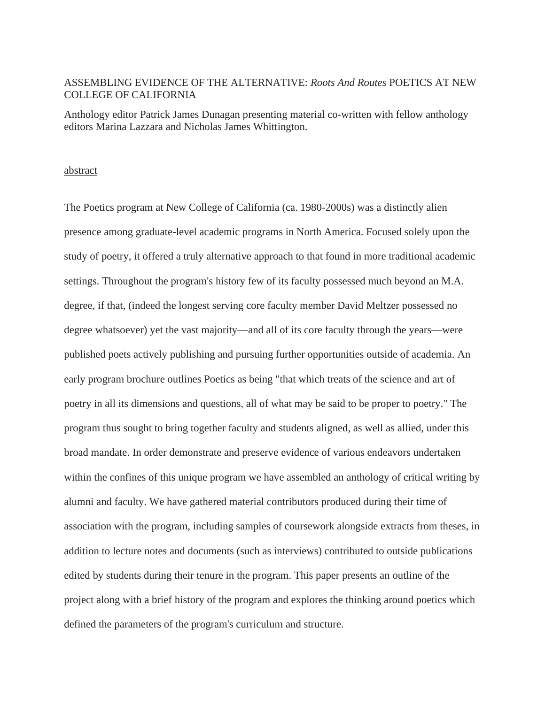## ASSEMBLING EVIDENCE OF THE ALTERNATIVE: *Roots And Routes* POETICS AT NEW COLLEGE OF CALIFORNIA

Anthology editor Patrick James Dunagan presenting material co-written with fellow anthology editors Marina Lazzara and Nicholas James Whittington.

#### abstract

The Poetics program at New College of California (ca. 1980-2000s) was a distinctly alien presence among graduate-level academic programs in North America. Focused solely upon the study of poetry, it offered a truly alternative approach to that found in more traditional academic settings. Throughout the program's history few of its faculty possessed much beyond an M.A. degree, if that, (indeed the longest serving core faculty member David Meltzer possessed no degree whatsoever) yet the vast majority—and all of its core faculty through the years—were published poets actively publishing and pursuing further opportunities outside of academia. An early program brochure outlines Poetics as being "that which treats of the science and art of poetry in all its dimensions and questions, all of what may be said to be proper to poetry." The program thus sought to bring together faculty and students aligned, as well as allied, under this broad mandate. In order demonstrate and preserve evidence of various endeavors undertaken within the confines of this unique program we have assembled an anthology of critical writing by alumni and faculty. We have gathered material contributors produced during their time of association with the program, including samples of coursework alongside extracts from theses, in addition to lecture notes and documents (such as interviews) contributed to outside publications edited by students during their tenure in the program. This paper presents an outline of the project along with a brief history of the program and explores the thinking around poetics which defined the parameters of the program's curriculum and structure.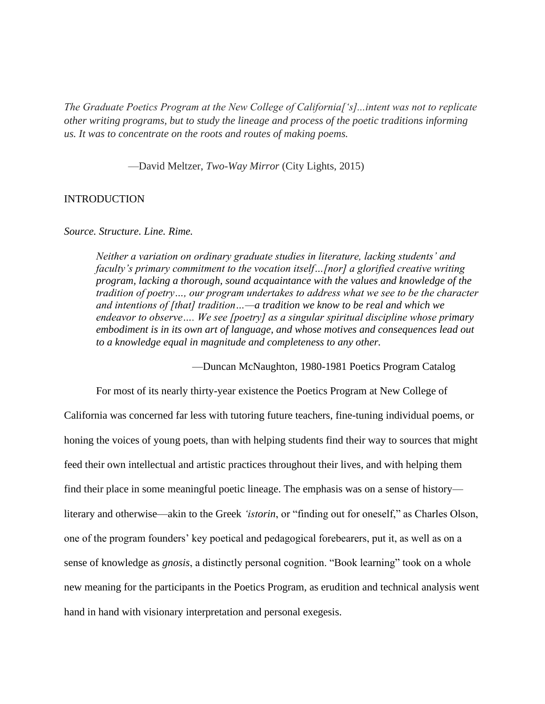*The Graduate Poetics Program at the New College of California['s]...intent was not to replicate other writing programs, but to study the lineage and process of the poetic traditions informing us. It was to concentrate on the roots and routes of making poems.*

—David Meltzer, *Two-Way Mirror* (City Lights, 2015)

#### INTRODUCTION

#### *Source. Structure. Line. Rime.*

*Neither a variation on ordinary graduate studies in literature, lacking students' and faculty's primary commitment to the vocation itself…[nor] a glorified creative writing program, lacking a thorough, sound acquaintance with the values and knowledge of the tradition of poetry…, our program undertakes to address what we see to be the character and intentions of [that] tradition…—a tradition we know to be real and which we endeavor to observe…. We see [poetry] as a singular spiritual discipline whose primary embodiment is in its own art of language, and whose motives and consequences lead out to a knowledge equal in magnitude and completeness to any other.*

—Duncan McNaughton, 1980-1981 Poetics Program Catalog

For most of its nearly thirty-year existence the Poetics Program at New College of California was concerned far less with tutoring future teachers, fine-tuning individual poems, or honing the voices of young poets, than with helping students find their way to sources that might feed their own intellectual and artistic practices throughout their lives, and with helping them find their place in some meaningful poetic lineage. The emphasis was on a sense of history literary and otherwise—akin to the Greek *'istorin*, or "finding out for oneself," as Charles Olson, one of the program founders' key poetical and pedagogical forebearers, put it, as well as on a sense of knowledge as *gnosis*, a distinctly personal cognition. "Book learning" took on a whole new meaning for the participants in the Poetics Program, as erudition and technical analysis went hand in hand with visionary interpretation and personal exegesis.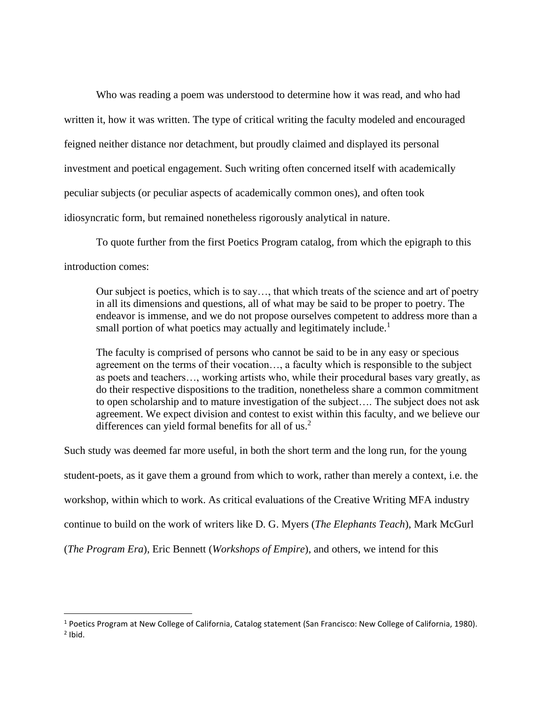Who was reading a poem was understood to determine how it was read, and who had written it, how it was written. The type of critical writing the faculty modeled and encouraged feigned neither distance nor detachment, but proudly claimed and displayed its personal investment and poetical engagement. Such writing often concerned itself with academically peculiar subjects (or peculiar aspects of academically common ones), and often took idiosyncratic form, but remained nonetheless rigorously analytical in nature.

To quote further from the first Poetics Program catalog, from which the epigraph to this introduction comes:

Our subject is poetics, which is to say…, that which treats of the science and art of poetry in all its dimensions and questions, all of what may be said to be proper to poetry. The endeavor is immense, and we do not propose ourselves competent to address more than a small portion of what poetics may actually and legitimately include.<sup>1</sup>

The faculty is comprised of persons who cannot be said to be in any easy or specious agreement on the terms of their vocation…, a faculty which is responsible to the subject as poets and teachers…, working artists who, while their procedural bases vary greatly, as do their respective dispositions to the tradition, nonetheless share a common commitment to open scholarship and to mature investigation of the subject…. The subject does not ask agreement. We expect division and contest to exist within this faculty, and we believe our differences can yield formal benefits for all of us.<sup>2</sup>

Such study was deemed far more useful, in both the short term and the long run, for the young student-poets, as it gave them a ground from which to work, rather than merely a context, i.e. the workshop, within which to work. As critical evaluations of the Creative Writing MFA industry continue to build on the work of writers like D. G. Myers (*The Elephants Teach*), Mark McGurl (*The Program Era*), Eric Bennett (*Workshops of Empire*), and others, we intend for this

 $1$  Poetics Program at New College of California, Catalog statement (San Francisco: New College of California, 1980).  $<sup>2</sup>$  Ibid.</sup>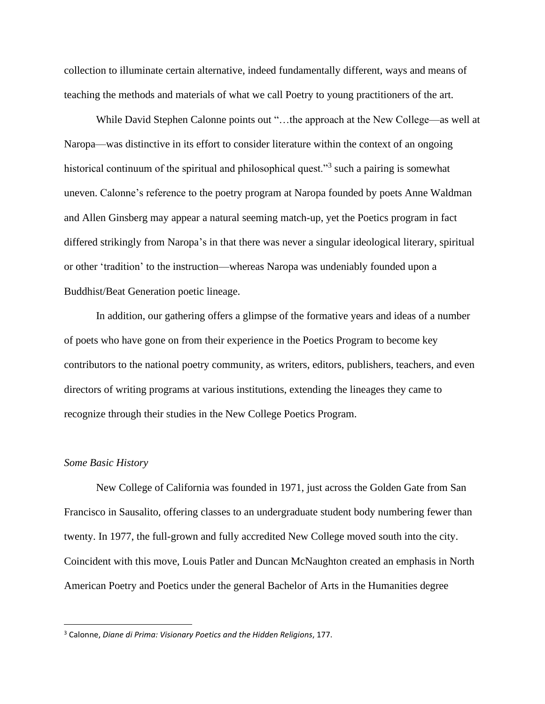collection to illuminate certain alternative, indeed fundamentally different, ways and means of teaching the methods and materials of what we call Poetry to young practitioners of the art.

While David Stephen Calonne points out "…the approach at the New College—as well at Naropa—was distinctive in its effort to consider literature within the context of an ongoing historical continuum of the spiritual and philosophical quest."<sup>3</sup> such a pairing is somewhat uneven. Calonne's reference to the poetry program at Naropa founded by poets Anne Waldman and Allen Ginsberg may appear a natural seeming match-up, yet the Poetics program in fact differed strikingly from Naropa's in that there was never a singular ideological literary, spiritual or other 'tradition' to the instruction—whereas Naropa was undeniably founded upon a Buddhist/Beat Generation poetic lineage.

In addition, our gathering offers a glimpse of the formative years and ideas of a number of poets who have gone on from their experience in the Poetics Program to become key contributors to the national poetry community, as writers, editors, publishers, teachers, and even directors of writing programs at various institutions, extending the lineages they came to recognize through their studies in the New College Poetics Program.

#### *Some Basic History*

New College of California was founded in 1971, just across the Golden Gate from San Francisco in Sausalito, offering classes to an undergraduate student body numbering fewer than twenty. In 1977, the full-grown and fully accredited New College moved south into the city. Coincident with this move, Louis Patler and Duncan McNaughton created an emphasis in North American Poetry and Poetics under the general Bachelor of Arts in the Humanities degree

<sup>3</sup> Calonne, *Diane di Prima: Visionary Poetics and the Hidden Religions*, 177.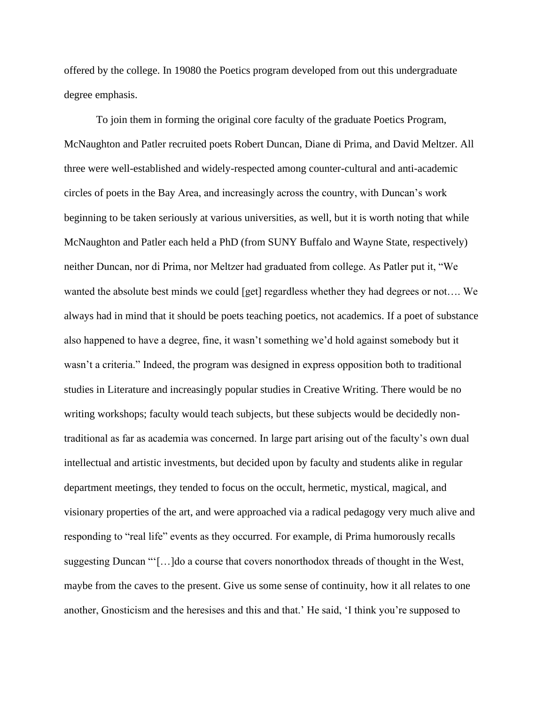offered by the college. In 19080 the Poetics program developed from out this undergraduate degree emphasis.

To join them in forming the original core faculty of the graduate Poetics Program, McNaughton and Patler recruited poets Robert Duncan, Diane di Prima, and David Meltzer. All three were well-established and widely-respected among counter-cultural and anti-academic circles of poets in the Bay Area, and increasingly across the country, with Duncan's work beginning to be taken seriously at various universities, as well, but it is worth noting that while McNaughton and Patler each held a PhD (from SUNY Buffalo and Wayne State, respectively) neither Duncan, nor di Prima, nor Meltzer had graduated from college. As Patler put it, "We wanted the absolute best minds we could [get] regardless whether they had degrees or not…. We always had in mind that it should be poets teaching poetics, not academics. If a poet of substance also happened to have a degree, fine, it wasn't something we'd hold against somebody but it wasn't a criteria." Indeed, the program was designed in express opposition both to traditional studies in Literature and increasingly popular studies in Creative Writing. There would be no writing workshops; faculty would teach subjects, but these subjects would be decidedly nontraditional as far as academia was concerned. In large part arising out of the faculty's own dual intellectual and artistic investments, but decided upon by faculty and students alike in regular department meetings, they tended to focus on the occult, hermetic, mystical, magical, and visionary properties of the art, and were approached via a radical pedagogy very much alive and responding to "real life" events as they occurred. For example, di Prima humorously recalls suggesting Duncan "'[…]do a course that covers nonorthodox threads of thought in the West, maybe from the caves to the present. Give us some sense of continuity, how it all relates to one another, Gnosticism and the heresises and this and that.' He said, 'I think you're supposed to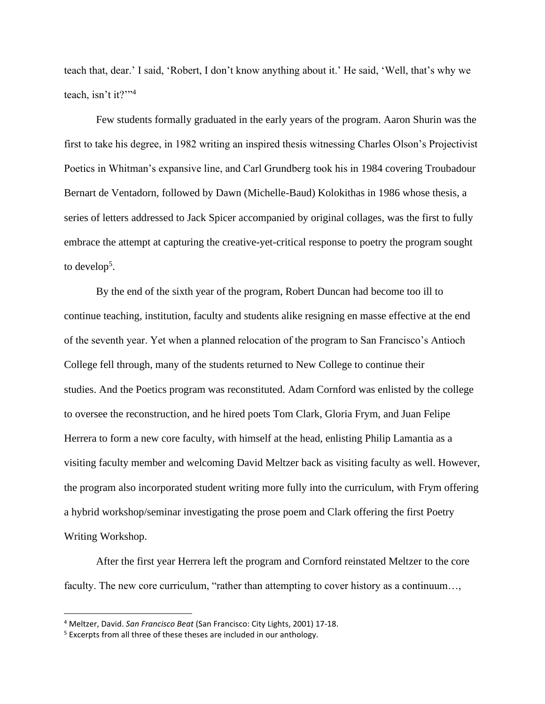teach that, dear.' I said, 'Robert, I don't know anything about it.' He said, 'Well, that's why we teach, isn't it?"<sup>4</sup>

Few students formally graduated in the early years of the program. Aaron Shurin was the first to take his degree, in 1982 writing an inspired thesis witnessing Charles Olson's Projectivist Poetics in Whitman's expansive line, and Carl Grundberg took his in 1984 covering Troubadour Bernart de Ventadorn, followed by Dawn (Michelle-Baud) Kolokithas in 1986 whose thesis, a series of letters addressed to Jack Spicer accompanied by original collages, was the first to fully embrace the attempt at capturing the creative-yet-critical response to poetry the program sought to develop<sup>5</sup>.

By the end of the sixth year of the program, Robert Duncan had become too ill to continue teaching, institution, faculty and students alike resigning en masse effective at the end of the seventh year. Yet when a planned relocation of the program to San Francisco's Antioch College fell through, many of the students returned to New College to continue their studies. And the Poetics program was reconstituted. Adam Cornford was enlisted by the college to oversee the reconstruction, and he hired poets Tom Clark, Gloria Frym, and Juan Felipe Herrera to form a new core faculty, with himself at the head, enlisting Philip Lamantia as a visiting faculty member and welcoming David Meltzer back as visiting faculty as well. However, the program also incorporated student writing more fully into the curriculum, with Frym offering a hybrid workshop/seminar investigating the prose poem and Clark offering the first Poetry Writing Workshop.

After the first year Herrera left the program and Cornford reinstated Meltzer to the core faculty. The new core curriculum, "rather than attempting to cover history as a continuum...,

<sup>4</sup> Meltzer, David. *San Francisco Beat* (San Francisco: City Lights, 2001) 17-18.

<sup>&</sup>lt;sup>5</sup> Excerpts from all three of these theses are included in our anthology.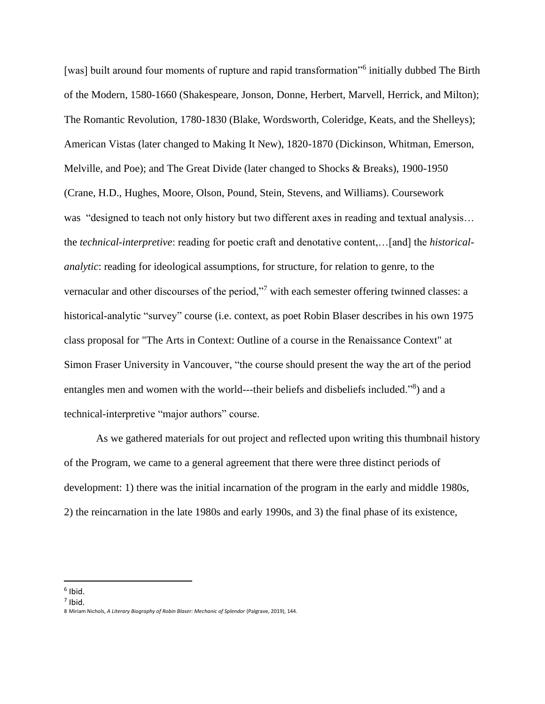[was] built around four moments of rupture and rapid transformation"<sup>6</sup> initially dubbed The Birth of the Modern, 1580-1660 (Shakespeare, Jonson, Donne, Herbert, Marvell, Herrick, and Milton); The Romantic Revolution, 1780-1830 (Blake, Wordsworth, Coleridge, Keats, and the Shelleys); American Vistas (later changed to Making It New), 1820-1870 (Dickinson, Whitman, Emerson, Melville, and Poe); and The Great Divide (later changed to Shocks & Breaks), 1900-1950 (Crane, H.D., Hughes, Moore, Olson, Pound, Stein, Stevens, and Williams). Coursework was "designed to teach not only history but two different axes in reading and textual analysis… the *technical-interpretive*: reading for poetic craft and denotative content,…[and] the *historicalanalytic*: reading for ideological assumptions, for structure, for relation to genre, to the vernacular and other discourses of the period,"<sup>7</sup> with each semester offering twinned classes: a historical-analytic "survey" course (i.e. context, as poet Robin Blaser describes in his own 1975 class proposal for "The Arts in Context: Outline of a course in the Renaissance Context" at Simon Fraser University in Vancouver, "the course should present the way the art of the period entangles men and women with the world---their beliefs and disbeliefs included."<sup>8</sup>) and a technical-interpretive "major authors" course.

As we gathered materials for out project and reflected upon writing this thumbnail history of the Program, we came to a general agreement that there were three distinct periods of development: 1) there was the initial incarnation of the program in the early and middle 1980s, 2) the reincarnation in the late 1980s and early 1990s, and 3) the final phase of its existence,

<sup>6</sup> Ibid.

 $<sup>7</sup>$  Ibid.</sup>

<sup>8</sup> Miriam Nichols, *A Literary Biography of Robin Blaser: Mechanic of Splendor* (Palgrave, 2019), 144.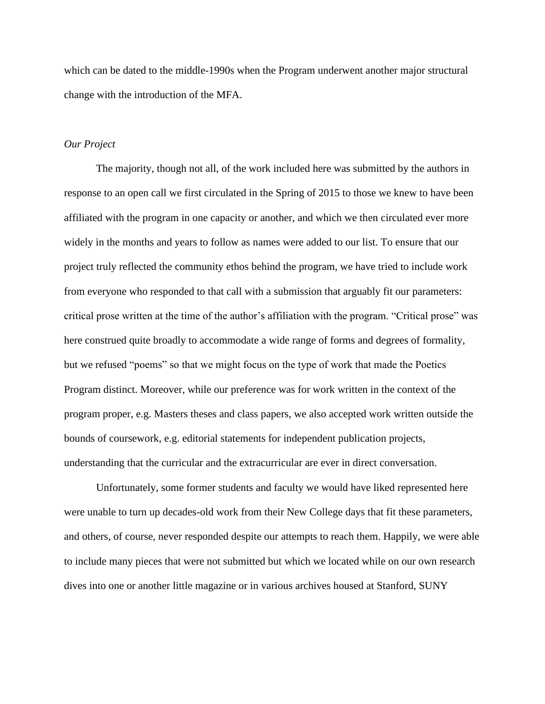which can be dated to the middle-1990s when the Program underwent another major structural change with the introduction of the MFA.

#### *Our Project*

The majority, though not all, of the work included here was submitted by the authors in response to an open call we first circulated in the Spring of 2015 to those we knew to have been affiliated with the program in one capacity or another, and which we then circulated ever more widely in the months and years to follow as names were added to our list. To ensure that our project truly reflected the community ethos behind the program, we have tried to include work from everyone who responded to that call with a submission that arguably fit our parameters: critical prose written at the time of the author's affiliation with the program. "Critical prose" was here construed quite broadly to accommodate a wide range of forms and degrees of formality, but we refused "poems" so that we might focus on the type of work that made the Poetics Program distinct. Moreover, while our preference was for work written in the context of the program proper, e.g. Masters theses and class papers, we also accepted work written outside the bounds of coursework, e.g. editorial statements for independent publication projects, understanding that the curricular and the extracurricular are ever in direct conversation.

Unfortunately, some former students and faculty we would have liked represented here were unable to turn up decades-old work from their New College days that fit these parameters, and others, of course, never responded despite our attempts to reach them. Happily, we were able to include many pieces that were not submitted but which we located while on our own research dives into one or another little magazine or in various archives housed at Stanford, SUNY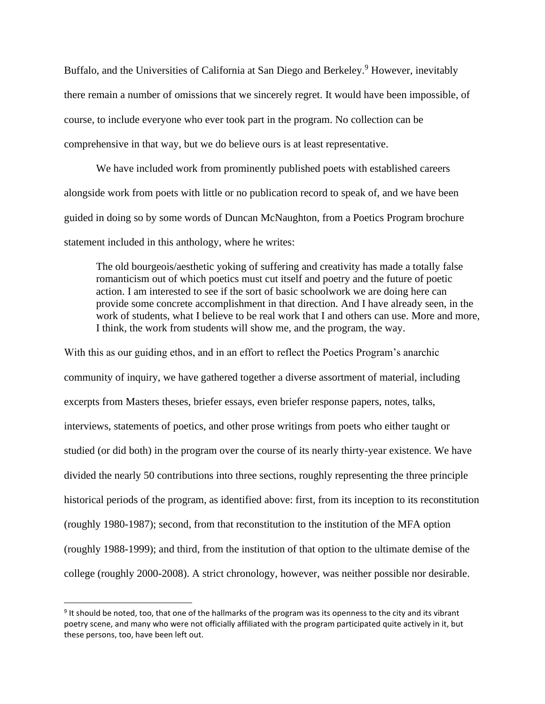Buffalo, and the Universities of California at San Diego and Berkeley.<sup>9</sup> However, inevitably there remain a number of omissions that we sincerely regret. It would have been impossible, of course, to include everyone who ever took part in the program. No collection can be comprehensive in that way, but we do believe ours is at least representative.

We have included work from prominently published poets with established careers alongside work from poets with little or no publication record to speak of, and we have been guided in doing so by some words of Duncan McNaughton, from a Poetics Program brochure statement included in this anthology, where he writes:

The old bourgeois/aesthetic yoking of suffering and creativity has made a totally false romanticism out of which poetics must cut itself and poetry and the future of poetic action. I am interested to see if the sort of basic schoolwork we are doing here can provide some concrete accomplishment in that direction. And I have already seen, in the work of students, what I believe to be real work that I and others can use. More and more, I think, the work from students will show me, and the program, the way.

With this as our guiding ethos, and in an effort to reflect the Poetics Program's anarchic community of inquiry, we have gathered together a diverse assortment of material, including excerpts from Masters theses, briefer essays, even briefer response papers, notes, talks, interviews, statements of poetics, and other prose writings from poets who either taught or studied (or did both) in the program over the course of its nearly thirty-year existence. We have divided the nearly 50 contributions into three sections, roughly representing the three principle historical periods of the program, as identified above: first, from its inception to its reconstitution (roughly 1980-1987); second, from that reconstitution to the institution of the MFA option (roughly 1988-1999); and third, from the institution of that option to the ultimate demise of the college (roughly 2000-2008). A strict chronology, however, was neither possible nor desirable.

<sup>&</sup>lt;sup>9</sup> It should be noted, too, that one of the hallmarks of the program was its openness to the city and its vibrant poetry scene, and many who were not officially affiliated with the program participated quite actively in it, but these persons, too, have been left out.